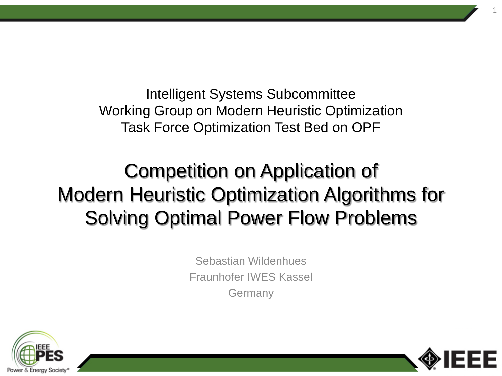Intelligent Systems Subcommittee Working Group on Modern Heuristic Optimization Task Force Optimization Test Bed on OPF

# Competition on Application of Modern Heuristic Optimization Algorithms for Solving Optimal Power Flow Problems

Sebastian Wildenhues Fraunhofer IWES Kassel **Germany** 



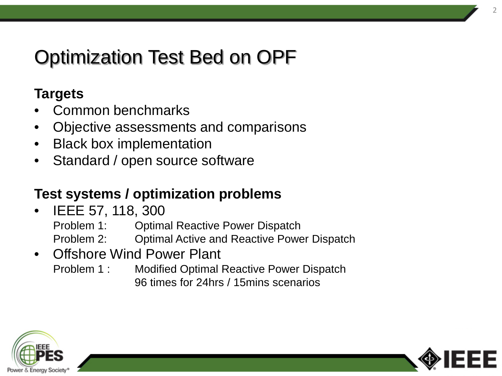# Optimization Test Bed on OPF

#### **Targets**

- Common benchmarks
- Objective assessments and comparisons
- Black box implementation
- Standard / open source software

### **Test systems / optimization problems**

• IEEE 57, 118, 300

Problem 1: Optimal Reactive Power Dispatch

- Problem 2: Optimal Active and Reactive Power Dispatch
- Offshore Wind Power Plant
	- Problem 1 : Modified Optimal Reactive Power Dispatch 96 times for 24hrs / 15mins scenarios



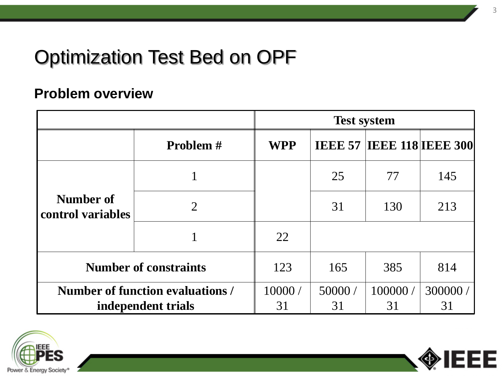# Optimization Test Bed on OPF

#### **Problem overview**

|                                  |                 | <b>Test system</b> |        |                                  |         |
|----------------------------------|-----------------|--------------------|--------|----------------------------------|---------|
|                                  | <b>Problem#</b> | <b>WPP</b>         |        | <b>IEEE 57 IEEE 118 IEEE 300</b> |         |
| Number of<br>control variables   |                 |                    | 25     | 77                               | 145     |
|                                  | $\overline{2}$  |                    | 31     | 130                              | 213     |
|                                  |                 | 22                 |        |                                  |         |
| <b>Number of constraints</b>     |                 | 123                | 165    | 385                              | 814     |
| Number of function evaluations / |                 | 10000/             | 50000/ | 100000/                          | 300000/ |
| independent trials               |                 | 31                 | 31     | 31                               | 31      |



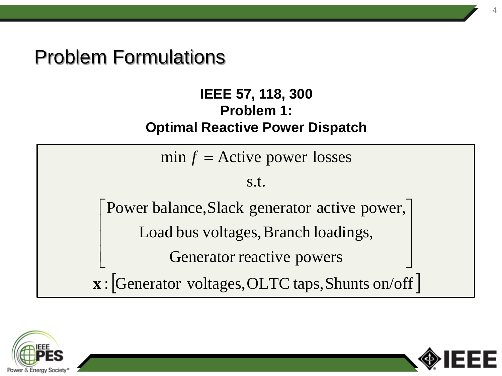## Problem Formulations

 $\mathbf{L}$ 

L

 $\overline{\phantom{a}}$ 

#### **IEEE 57, 118, 300 Problem 1: Optimal Reactive Power Dispatch**

 $\min f =$  Active power losses

#### s.t.

Power balance,Slack generator active power,  $\overline{\phantom{a}}$ 

Load bus voltages, Branch loadings,

Generator reactive powers

:[Generator voltages,OLTC taps,Shunts on/off] **x**





 $\overline{\phantom{a}}$ 

 $\rfloor$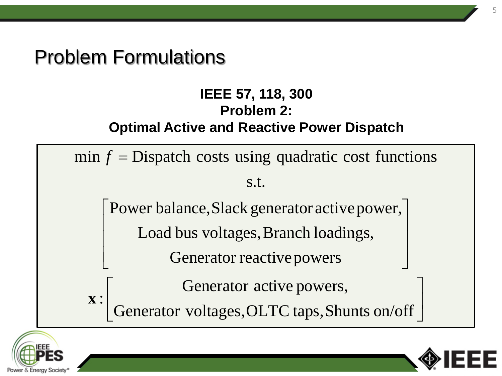## Problem Formulations

#### **IEEE 57, 118, 300 Problem 2: Optimal Active and Reactive Power Dispatch**





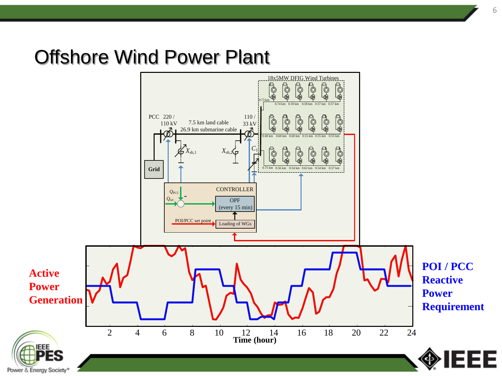## Offshore Wind Power Plant

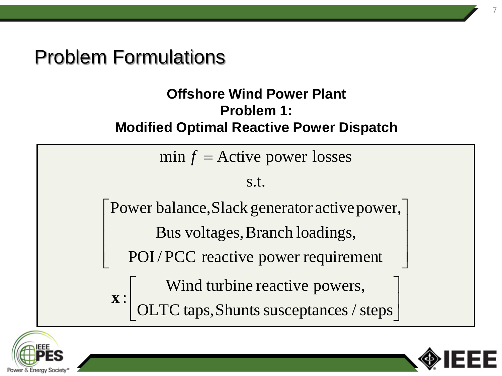## Problem Formulations

 $\mathbf{r}$ 

: **x**

 $\mathbf{r}$ 

 $\lfloor$ 

#### **Offshore Wind Power Plant Problem 1: Modified Optimal Reactive Power Dispatch**

 $min f =$ Active power losses

#### s.t.

 | Power balance, Slack generator active power, |  $\overline{\phantom{a}}$  $\overline{\phantom{a}}$ Bus voltages, Branch loadings,

POI/ PCC reactive power requirement

Wind turbine reactive powers, Wind turbine reactive powers,

 $\overline{\phantom{a}}$  $\rfloor$ L OLTC taps, Shunts susceptances / steps





 $\overline{\phantom{a}}$ 

 $\rfloor$